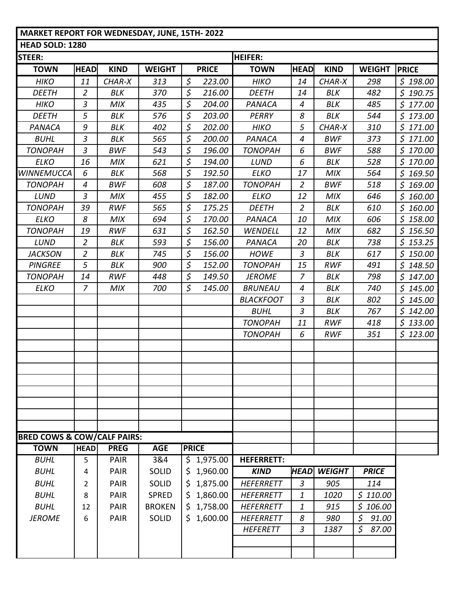## **MARKET REPORT FOR WEDNESDAY, JUNE, 15TH- 2022**

| <b>HEAD SOLD: 1280</b>                 |                |             |               |              |              |                   |                |                    |                       |              |  |  |
|----------------------------------------|----------------|-------------|---------------|--------------|--------------|-------------------|----------------|--------------------|-----------------------|--------------|--|--|
| <b>STEER:</b>                          |                |             |               |              |              | <b>HEIFER:</b>    |                |                    |                       |              |  |  |
| <b>TOWN</b>                            | <b>HEAD</b>    | <b>KIND</b> | <b>WEIGHT</b> |              | <b>PRICE</b> | <b>TOWN</b>       | <b>HEAD</b>    | <b>KIND</b>        | <b>WEIGHT</b>         | <b>PRICE</b> |  |  |
| <b>HIKO</b>                            | 11             | CHAR-X      | 313           | $\varsigma$  | 223.00       | <b>HIKO</b>       | 14             | CHAR-X             | 298                   | \$198.00     |  |  |
| <b>DEETH</b>                           | $\overline{2}$ | BLK         | 370           | $\varsigma$  | 216.00       | <b>DEETH</b>      | 14             | <b>BLK</b>         | 482                   | \$190.75     |  |  |
| <b>HIKO</b>                            | $\mathfrak{Z}$ | <b>MIX</b>  | 435           | \$           | 204.00       | PANACA            | 4              | BLK                | 485                   | \$177.00     |  |  |
| <b>DEETH</b>                           | 5              | BLK         | 576           | $\varsigma$  | 203.00       | PERRY             | 8              | BLK                | 544                   | \$173.00     |  |  |
| PANACA                                 | 9              | <b>BLK</b>  | 402           | $\varsigma$  | 202.00       | <b>HIKO</b>       | 5              | CHAR-X             | 310                   | \$171.00     |  |  |
| <b>BUHL</b>                            | $\mathfrak{Z}$ | <b>BLK</b>  | 565           | \$           | 200.00       | PANACA            | 4              | <b>BWF</b>         | 373                   | \$171.00     |  |  |
| <b>TONOPAH</b>                         | $\mathfrak{Z}$ | <b>BWF</b>  | 543           | \$           | 196.00       | <b>TONOPAH</b>    | 6              | <b>BWF</b>         | 588                   | \$170.00     |  |  |
| <b>ELKO</b>                            | 16             | <b>MIX</b>  | 621           | $\varsigma$  | 194.00       | LUND              | 6              | BLK                | 528                   | \$170.00     |  |  |
| <b>WINNEMUCCA</b>                      | 6              | BLK         | 568           | $\varsigma$  | 192.50       | <b>ELKO</b>       | 17             | <b>MIX</b>         | 564                   | \$169.50     |  |  |
| <b>TONOPAH</b>                         | 4              | <b>BWF</b>  | 608           | \$           | 187.00       | <b>TONOPAH</b>    | 2              | <b>BWF</b>         | 518                   | \$169.00     |  |  |
| LUND                                   | $\mathfrak{Z}$ | <b>MIX</b>  | 455           | $\varsigma$  | 182.00       | <b>ELKO</b>       | 12             | <b>MIX</b>         | 646                   | \$160.00     |  |  |
| <b>TONOPAH</b>                         | 39             | <b>RWF</b>  | 565           | $\varsigma$  | 175.25       | <b>DEETH</b>      | $\overline{2}$ | BLK                | 610                   | \$160.00     |  |  |
| <b>ELKO</b>                            | 8              | MIX         | 694           | $\varsigma$  | 170.00       | PANACA            | 10             | <b>MIX</b>         | 606                   | \$158.00     |  |  |
| <b>TONOPAH</b>                         | 19             | <b>RWF</b>  | 631           | $\varsigma$  | 162.50       | WENDELL           | 12             | <b>MIX</b>         | 682                   | \$156.50     |  |  |
| LUND                                   | $\overline{2}$ | BLK         | 593           | $\varsigma$  | 156.00       | PANACA            | 20             | BLK                | 738                   | \$153.25     |  |  |
| <b>JACKSON</b>                         | $\overline{2}$ | BLK         | 745           | $\varsigma$  | 156.00       | <b>HOWE</b>       | 3              | BLK                | 617                   | \$150.00     |  |  |
| <b>PINGREE</b>                         | 5              | BLK         | 900           | \$           | 152.00       | <b>TONOPAH</b>    | 15             | <b>RWF</b>         | 491                   | \$148.50     |  |  |
| <b>TONOPAH</b>                         | 14             | <b>RWF</b>  | 448           | \$           | 149.50       | <b>JEROME</b>     | $\overline{7}$ | BLK                | 798                   | \$147.00     |  |  |
| <b>ELKO</b>                            | $\overline{z}$ | <b>MIX</b>  | 700           | \$           | 145.00       | <b>BRUNEAU</b>    | 4              | BLK                | 740                   | \$145.00     |  |  |
|                                        |                |             |               |              |              | <b>BLACKFOOT</b>  | 3              | BLK                | 802                   | \$145.00     |  |  |
|                                        |                |             |               |              |              | <b>BUHL</b>       | $\overline{3}$ | BLK                | 767                   | \$142.00     |  |  |
|                                        |                |             |               |              |              | <b>TONOPAH</b>    | 11             | <b>RWF</b>         | 418                   | \$133.00     |  |  |
|                                        |                |             |               |              |              | <b>TONOPAH</b>    | 6              | <b>RWF</b>         | 351                   | \$123.00     |  |  |
|                                        |                |             |               |              |              |                   |                |                    |                       |              |  |  |
|                                        |                |             |               |              |              |                   |                |                    |                       |              |  |  |
|                                        |                |             |               |              |              |                   |                |                    |                       |              |  |  |
|                                        |                |             |               |              |              |                   |                |                    |                       |              |  |  |
|                                        |                |             |               |              |              |                   |                |                    |                       |              |  |  |
|                                        |                |             |               |              |              |                   |                |                    |                       |              |  |  |
|                                        |                |             |               |              |              |                   |                |                    |                       |              |  |  |
|                                        |                |             |               |              |              |                   |                |                    |                       |              |  |  |
| <b>BRED COWS &amp; COW/CALF PAIRS:</b> |                |             |               |              |              |                   |                |                    |                       |              |  |  |
| <b>TOWN</b>                            | <b>HEAD</b>    | <b>PREG</b> | <b>AGE</b>    | <b>PRICE</b> |              |                   |                |                    |                       |              |  |  |
| <b>BUHL</b>                            | 5              | <b>PAIR</b> | 3&4           |              | \$1,975.00   | <b>HEFERRETT:</b> |                |                    |                       |              |  |  |
| <b>BUHL</b>                            | 4              | <b>PAIR</b> | SOLID         | \$           | 1,960.00     | <b>KIND</b>       |                | <b>HEAD WEIGHT</b> | <b>PRICE</b>          |              |  |  |
| <b>BUHL</b>                            | 2              | <b>PAIR</b> | SOLID         | \$           | 1,875.00     | <b>HEFERRETT</b>  | 3              | 905                | 114                   |              |  |  |
| <b>BUHL</b>                            | 8              | <b>PAIR</b> | <b>SPRED</b>  |              | 1,860.00     | <b>HEFERRETT</b>  | 1              | 1020               | \$110.00              |              |  |  |
| <b>BUHL</b>                            | 12             | <b>PAIR</b> | <b>BROKEN</b> | \$           | 1,758.00     | <b>HEFERRETT</b>  | 1              | 915                | \$106.00              |              |  |  |
| <b>JEROME</b>                          | 6              | <b>PAIR</b> | SOLID         |              | 1,600.00     | <b>HEFERRETT</b>  | 8              | 980                | $\sharp$<br>91.00     |              |  |  |
|                                        |                |             |               |              |              | <b>HEFERETT</b>   | 3              | 1387               | $\mathsf{S}$<br>87.00 |              |  |  |
|                                        |                |             |               |              |              |                   |                |                    |                       |              |  |  |
|                                        |                |             |               |              |              |                   |                |                    |                       |              |  |  |